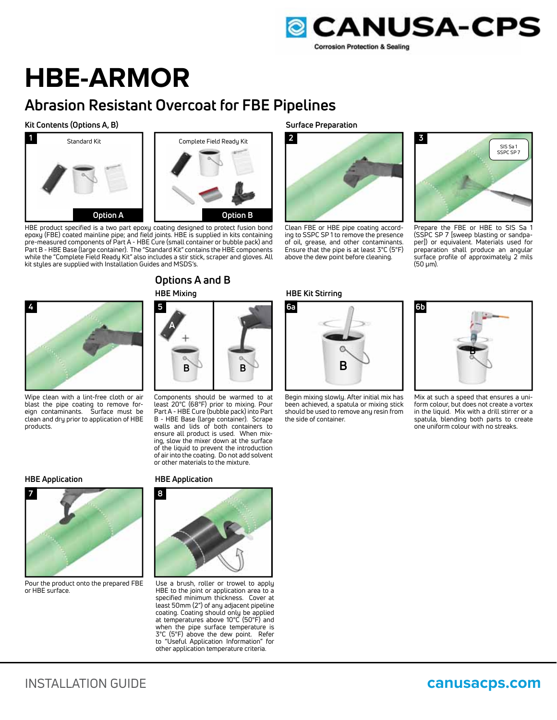

# **HBE-ARMOR**

# **Abrasion Resistant Overcoat for FBE Pipelines**

### **Kit Contents (Options A, B)**



HBE product specified is a two part epoxy coating designed to protect fusion bond epoxy (FBE) coated mainline pipe; and field joints. HBE is supplied in kits containing pre-measured components of Part A - HBE Cure (small container or bubble pack) and Part B - HBE Base (large container). The "Standard Kit" contains the HBE components while the "Complete Field Ready Kit" also includes a stir stick, scraper and gloves. All kit styles are supplied with Installation Guides and MSDS's.



## **HBE Mixing**



Wipe clean with a lint-free cloth or air blast the pipe coating to remove foreign contaminants. Surface must be clean and dry prior to application of HBE products.

# **5 A B B**

Components should be warmed to at least 20°C (68°F) prior to mixing. Pour Part A - HBE Cure (bubble pack) into Part B - HBE Base (large container). Scrape walls and lids of both containers to ensure all product is used. When mixing, slow the mixer down at the surface of the liquid to prevent the introduction of air into the coating. Do not add solvent or other materials to the mixture.

#### **HBE Application**



Pour the product onto the prepared FBE or HBE surface.

#### **HBE Application**



Use a brush, roller or trowel to apply HBE to the joint or application area to a specified minimum thickness. Cover at least 50mm (2") of any adjacent pipeline coating. Coating should only be applied at temperatures above 10°C (50°F) and when the pipe surface temperature is 3°C (5°F) above the dew point. Refer to "Useful Application Information" for other application temperature criteria.

**Surface Preparation**



Clean FBE or HBE pipe coating according to SSPC SP 1 to remove the presence of oil, grease, and other contaminants. Ensure that the pipe is at least 3°C (5°F) above the dew point before cleaning.





Begin mixing slowly. After initial mix has been achieved, a spatula or mixing stick should be used to remove any resin from the side of container.



Prepare the FBE or HBE to SIS Sa 1 (SSPC SP 7 [sweep blasting or sandpaper]) or equivalent. Materials used for preparation shall produce an angular surface profile of approximately 2 mils (50 μm).



Mix at such a speed that ensures a uniform colour, but does not create a vortex in the liquid. Mix with a drill stirrer or a spatula, blending both parts to create one uniform colour with no streaks.